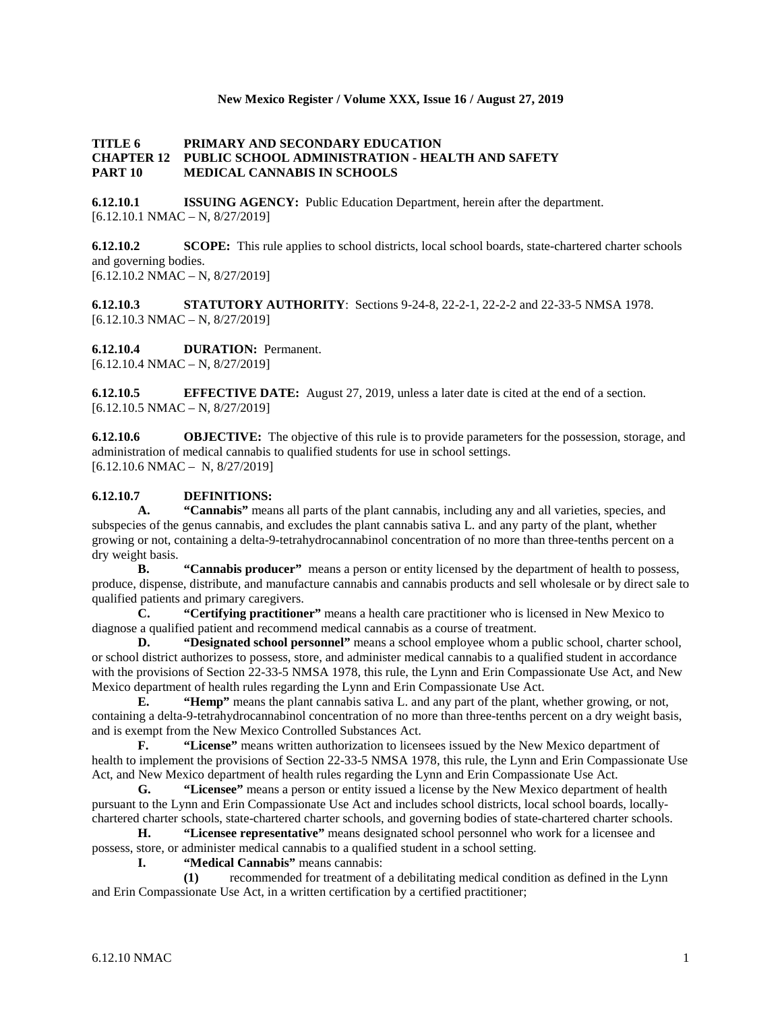## **New Mexico Register / Volume XXX, Issue 16 / August 27, 2019**

## **TITLE 6 PRIMARY AND SECONDARY EDUCATION CHAPTER 12 PUBLIC SCHOOL ADMINISTRATION - HEALTH AND SAFETY PART 10 MEDICAL CANNABIS IN SCHOOLS**

**6.12.10.1 ISSUING AGENCY:** Public Education Department, herein after the department.  $[6.12.10.1 \text{ NMAC} - \text{N}, 8/27/2019]$ 

**6.12.10.2 SCOPE:** This rule applies to school districts, local school boards, state-chartered charter schools and governing bodies.  $[6.12.10.2 \text{ NMAC} - \text{N}, 8/27/2019]$ 

**6.12.10.3 STATUTORY AUTHORITY**: Sections 9-24-8, 22-2-1, 22-2-2 and 22-33-5 NMSA 1978.  $[6.12.10.3 \text{ NMAC} - \text{N}, 8/27/2019]$ 

**6.12.10.4 DURATION:** Permanent.

[6.12.10.4 NMAC – N, 8/27/2019]

**6.12.10.5 EFFECTIVE DATE:** August 27, 2019, unless a later date is cited at the end of a section.  $[6.12.10.5 \text{ NMAC} - \text{N}, 8/27/2019]$ 

**6.12.10.6 OBJECTIVE:** The objective of this rule is to provide parameters for the possession, storage, and administration of medical cannabis to qualified students for use in school settings. [6.12.10.6 NMAC – N, 8/27/2019]

### **6.12.10.7 DEFINITIONS:**

**A. "Cannabis"** means all parts of the plant cannabis, including any and all varieties, species, and subspecies of the genus cannabis, and excludes the plant cannabis sativa L. and any party of the plant, whether growing or not, containing a delta-9-tetrahydrocannabinol concentration of no more than three-tenths percent on a dry weight basis.

**B. "Cannabis producer"** means a person or entity licensed by the department of health to possess, produce, dispense, distribute, and manufacture cannabis and cannabis products and sell wholesale or by direct sale to qualified patients and primary caregivers.

**C. "Certifying practitioner"** means a health care practitioner who is licensed in New Mexico to diagnose a qualified patient and recommend medical cannabis as a course of treatment.

**D. "Designated school personnel"** means a school employee whom a public school, charter school, or school district authorizes to possess, store, and administer medical cannabis to a qualified student in accordance with the provisions of Section 22-33-5 NMSA 1978, this rule, the Lynn and Erin Compassionate Use Act, and New Mexico department of health rules regarding the Lynn and Erin Compassionate Use Act.

**E. "Hemp"** means the plant cannabis sativa L. and any part of the plant, whether growing, or not, containing a delta-9-tetrahydrocannabinol concentration of no more than three-tenths percent on a dry weight basis, and is exempt from the New Mexico Controlled Substances Act.

**F. "License"** means written authorization to licensees issued by the New Mexico department of health to implement the provisions of Section 22-33-5 NMSA 1978, this rule, the Lynn and Erin Compassionate Use Act, and New Mexico department of health rules regarding the Lynn and Erin Compassionate Use Act.

**G. "Licensee"** means a person or entity issued a license by the New Mexico department of health pursuant to the Lynn and Erin Compassionate Use Act and includes school districts, local school boards, locallychartered charter schools, state-chartered charter schools, and governing bodies of state-chartered charter schools.

**H. "Licensee representative"** means designated school personnel who work for a licensee and possess, store, or administer medical cannabis to a qualified student in a school setting.

**I. "Medical Cannabis"** means cannabis:

**(1)** recommended for treatment of a debilitating medical condition as defined in the Lynn and Erin Compassionate Use Act, in a written certification by a certified practitioner;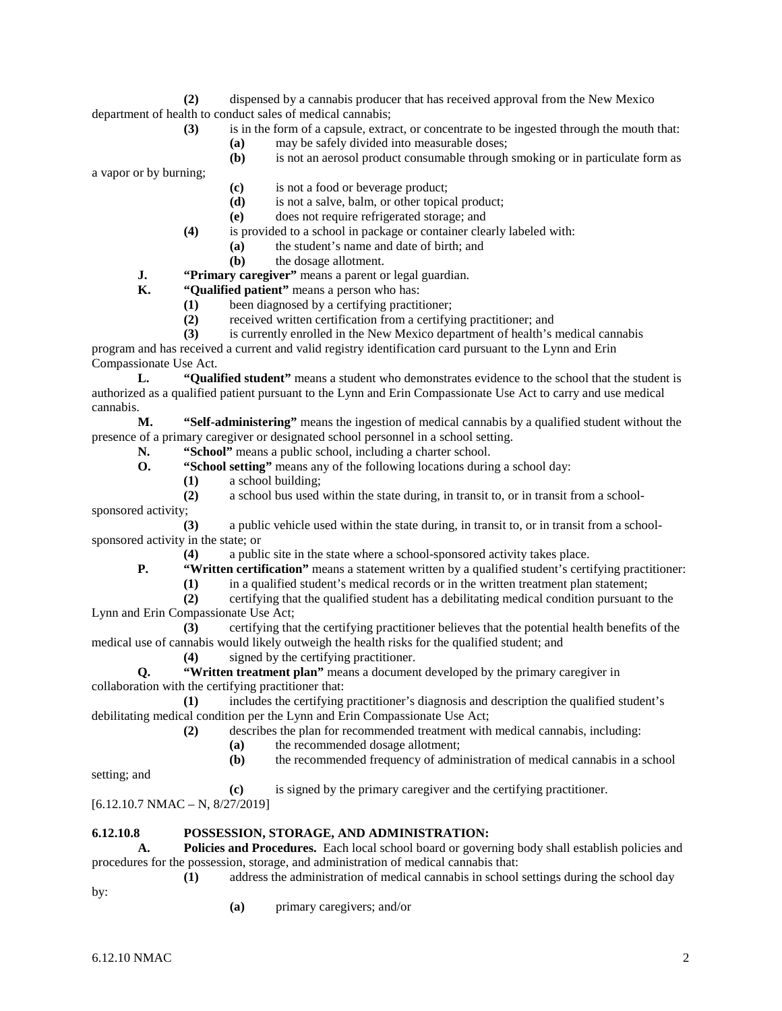**(2)** dispensed by a cannabis producer that has received approval from the New Mexico department of health to conduct sales of medical cannabis;

- **(3)** is in the form of a capsule, extract, or concentrate to be ingested through the mouth that:
	- **(a)** may be safely divided into measurable doses;
	- **(b)** is not an aerosol product consumable through smoking or in particulate form as

a vapor or by burning;

- **(c)** is not a food or beverage product;
- **(d)** is not a salve, balm, or other topical product;
- **(e)** does not require refrigerated storage; and
- **(4)** is provided to a school in package or container clearly labeled with:
	- **(a)** the student's name and date of birth; and
	- **(b)** the dosage allotment.
- **J. "Primary caregiver"** means a parent or legal guardian.<br>**K. "Oualified patient"** means a person who has:

**K. "Qualified patient"** means a person who has:

- **(1)** been diagnosed by a certifying practitioner;
- **(2)** received written certification from a certifying practitioner; and
- **(3)** is currently enrolled in the New Mexico department of health's medical cannabis

program and has received a current and valid registry identification card pursuant to the Lynn and Erin Compassionate Use Act.

**L. "Qualified student"** means a student who demonstrates evidence to the school that the student is authorized as a qualified patient pursuant to the Lynn and Erin Compassionate Use Act to carry and use medical cannabis.

**M. "Self-administering"** means the ingestion of medical cannabis by a qualified student without the presence of a primary caregiver or designated school personnel in a school setting.

**N. "School"** means a public school, including a charter school.<br>**O. "School setting"** means any of the following locations during

- **"School setting"** means any of the following locations during a school day:
	- **(1)** a school building;
- **(2)** a school bus used within the state during, in transit to, or in transit from a schoolsponsored activity;

**(3)** a public vehicle used within the state during, in transit to, or in transit from a schoolsponsored activity in the state; or

**(4)** a public site in the state where a school-sponsored activity takes place.

**P. "Written certification"** means a statement written by a qualified student's certifying practitioner:

- (1) in a qualified student's medical records or in the written treatment plan statement;<br>(2) certifying that the qualified student has a debilitating medical condition pursuant to
- **(2)** certifying that the qualified student has a debilitating medical condition pursuant to the

Lynn and Erin Compassionate Use Act; **(3)** certifying that the certifying practitioner believes that the potential health benefits of the medical use of cannabis would likely outweigh the health risks for the qualified student; and

**(4)** signed by the certifying practitioner.

**Q. "Written treatment plan"** means a document developed by the primary caregiver in collaboration with the certifying practitioner that:

**(1)** includes the certifying practitioner's diagnosis and description the qualified student's debilitating medical condition per the Lynn and Erin Compassionate Use Act;

**(2)** describes the plan for recommended treatment with medical cannabis, including:

- **(a)** the recommended dosage allotment;
- **(b)** the recommended frequency of administration of medical cannabis in a school

setting; and

**(c)** is signed by the primary caregiver and the certifying practitioner.

[6.12.10.7 NMAC – N, 8/27/2019]

#### **6.12.10.8 POSSESSION, STORAGE, AND ADMINISTRATION:**

**A. Policies and Procedures.** Each local school board or governing body shall establish policies and procedures for the possession, storage, and administration of medical cannabis that:

**(1)** address the administration of medical cannabis in school settings during the school day

by:

**(a)** primary caregivers; and/or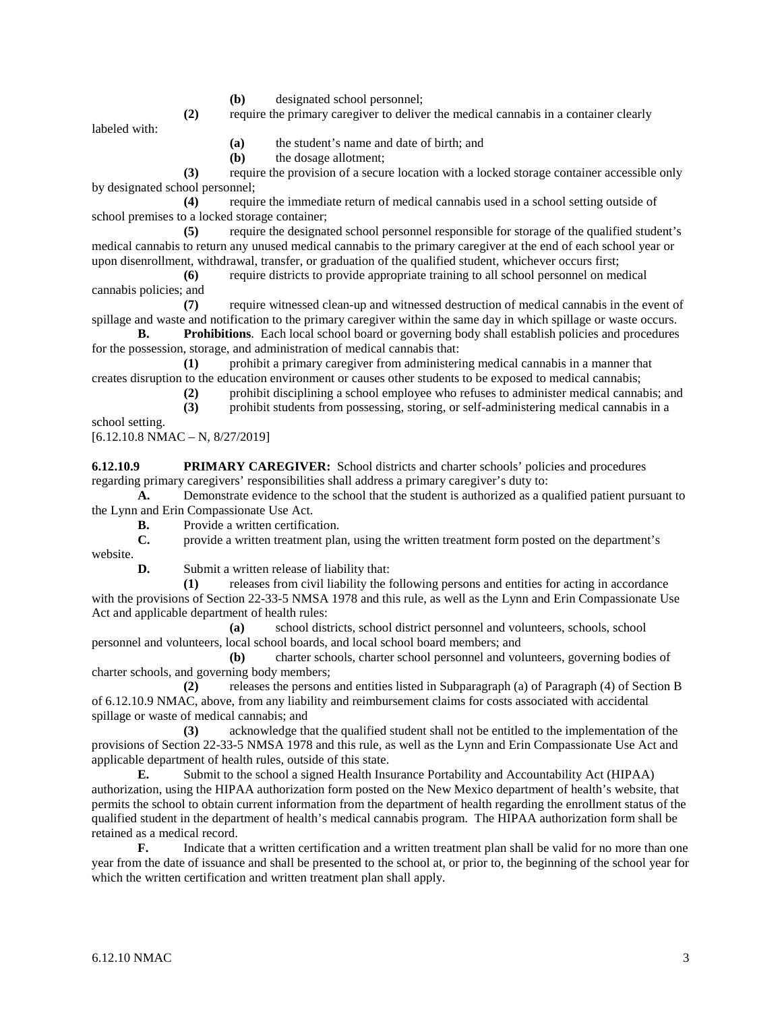- **(b)** designated school personnel;
- **(2)** require the primary caregiver to deliver the medical cannabis in a container clearly

labeled with:

**(a)** the student's name and date of birth; and

**(b)** the dosage allotment;

**(3)** require the provision of a secure location with a locked storage container accessible only by designated school personnel;

**(4)** require the immediate return of medical cannabis used in a school setting outside of school premises to a locked storage container;

**(5)** require the designated school personnel responsible for storage of the qualified student's medical cannabis to return any unused medical cannabis to the primary caregiver at the end of each school year or upon disenrollment, withdrawal, transfer, or graduation of the qualified student, whichever occurs first;

**(6)** require districts to provide appropriate training to all school personnel on medical cannabis policies; and

**(7)** require witnessed clean-up and witnessed destruction of medical cannabis in the event of spillage and waste and notification to the primary caregiver within the same day in which spillage or waste occurs.

**B. Prohibitions**. Each local school board or governing body shall establish policies and procedures for the possession, storage, and administration of medical cannabis that:

**(1)** prohibit a primary caregiver from administering medical cannabis in a manner that creates disruption to the education environment or causes other students to be exposed to medical cannabis;

**(2)** prohibit disciplining a school employee who refuses to administer medical cannabis; and

**(3)** prohibit students from possessing, storing, or self-administering medical cannabis in a

school setting.

 $[6.12.10.8 \text{ NMAC} - \text{N}, 8/27/2019]$ 

**6.12.10.9 PRIMARY CAREGIVER:** School districts and charter schools' policies and procedures regarding primary caregivers' responsibilities shall address a primary caregiver's duty to:

**A.** Demonstrate evidence to the school that the student is authorized as a qualified patient pursuant to the Lynn and Erin Compassionate Use Act.

**B.** Provide a written certification.

**C.** provide a written treatment plan, using the written treatment form posted on the department's website.

**D.** Submit a written release of liability that:

**(1)** releases from civil liability the following persons and entities for acting in accordance with the provisions of Section 22-33-5 NMSA 1978 and this rule, as well as the Lynn and Erin Compassionate Use Act and applicable department of health rules:

**(a)** school districts, school district personnel and volunteers, schools, school personnel and volunteers, local school boards, and local school board members; and

**(b)** charter schools, charter school personnel and volunteers, governing bodies of charter schools, and governing body members;

**(2)** releases the persons and entities listed in Subparagraph (a) of Paragraph (4) of Section B of 6.12.10.9 NMAC, above, from any liability and reimbursement claims for costs associated with accidental spillage or waste of medical cannabis; and

**(3)** acknowledge that the qualified student shall not be entitled to the implementation of the provisions of Section 22-33-5 NMSA 1978 and this rule, as well as the Lynn and Erin Compassionate Use Act and applicable department of health rules, outside of this state.

**E.** Submit to the school a signed Health Insurance Portability and Accountability Act (HIPAA) authorization, using the HIPAA authorization form posted on the New Mexico department of health's website, that permits the school to obtain current information from the department of health regarding the enrollment status of the qualified student in the department of health's medical cannabis program. The HIPAA authorization form shall be retained as a medical record.

**F.** Indicate that a written certification and a written treatment plan shall be valid for no more than one year from the date of issuance and shall be presented to the school at, or prior to, the beginning of the school year for which the written certification and written treatment plan shall apply.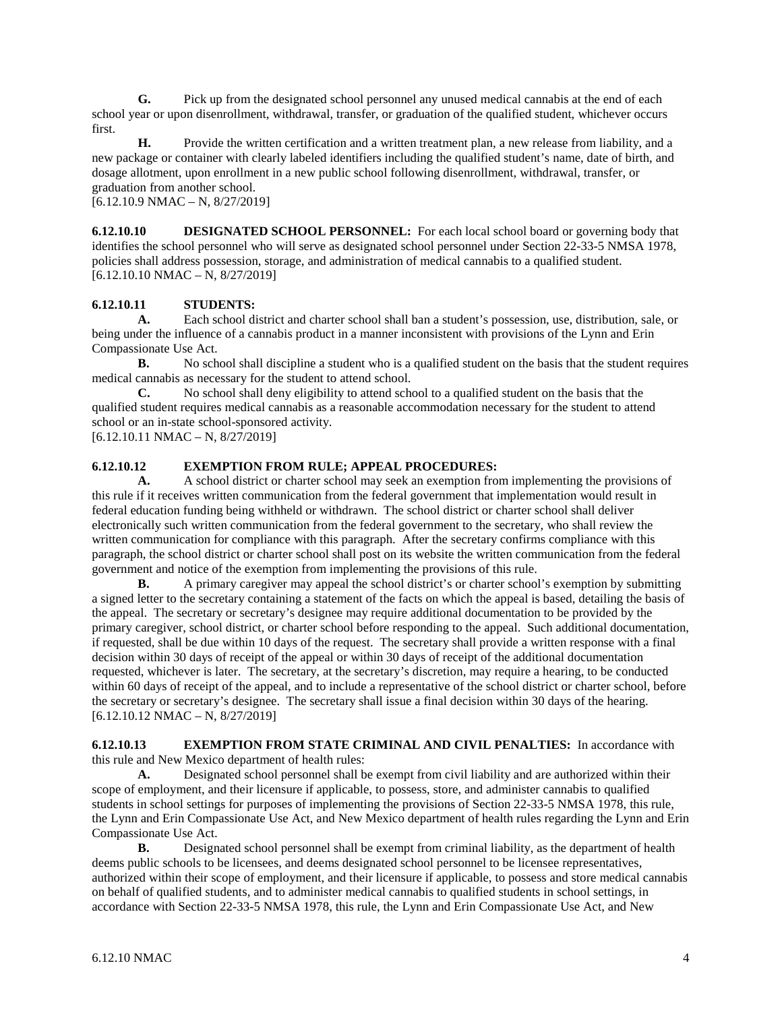**G.** Pick up from the designated school personnel any unused medical cannabis at the end of each school year or upon disenrollment, withdrawal, transfer, or graduation of the qualified student, whichever occurs first.

**H.** Provide the written certification and a written treatment plan, a new release from liability, and a new package or container with clearly labeled identifiers including the qualified student's name, date of birth, and dosage allotment, upon enrollment in a new public school following disenrollment, withdrawal, transfer, or graduation from another school.

 $[6.12.10.9 \text{ NMAC} - \text{N}, 8/27/2019]$ 

**6.12.10.10 DESIGNATED SCHOOL PERSONNEL:** For each local school board or governing body that identifies the school personnel who will serve as designated school personnel under Section 22-33-5 NMSA 1978, policies shall address possession, storage, and administration of medical cannabis to a qualified student.  $[6.12.10.10 NMAC - N, 8/27/2019]$ 

# **6.12.10.11 STUDENTS:**

**A.** Each school district and charter school shall ban a student's possession, use, distribution, sale, or being under the influence of a cannabis product in a manner inconsistent with provisions of the Lynn and Erin Compassionate Use Act.

**B.** No school shall discipline a student who is a qualified student on the basis that the student requires medical cannabis as necessary for the student to attend school.

**C.** No school shall deny eligibility to attend school to a qualified student on the basis that the qualified student requires medical cannabis as a reasonable accommodation necessary for the student to attend school or an in-state school-sponsored activity.

 $[6.12.10.11 \text{ NMAC} - \text{N}, 8/27/2019]$ 

## **6.12.10.12 EXEMPTION FROM RULE; APPEAL PROCEDURES:**

**A.** A school district or charter school may seek an exemption from implementing the provisions of this rule if it receives written communication from the federal government that implementation would result in federal education funding being withheld or withdrawn. The school district or charter school shall deliver electronically such written communication from the federal government to the secretary, who shall review the written communication for compliance with this paragraph. After the secretary confirms compliance with this paragraph, the school district or charter school shall post on its website the written communication from the federal government and notice of the exemption from implementing the provisions of this rule.

**B.** A primary caregiver may appeal the school district's or charter school's exemption by submitting a signed letter to the secretary containing a statement of the facts on which the appeal is based, detailing the basis of the appeal. The secretary or secretary's designee may require additional documentation to be provided by the primary caregiver, school district, or charter school before responding to the appeal. Such additional documentation, if requested, shall be due within 10 days of the request. The secretary shall provide a written response with a final decision within 30 days of receipt of the appeal or within 30 days of receipt of the additional documentation requested, whichever is later. The secretary, at the secretary's discretion, may require a hearing, to be conducted within 60 days of receipt of the appeal, and to include a representative of the school district or charter school, before the secretary or secretary's designee. The secretary shall issue a final decision within 30 days of the hearing.  $[6.12.10.12 \text{ NMAC} - \text{N}, 8/27/2019]$ 

**6.12.10.13 EXEMPTION FROM STATE CRIMINAL AND CIVIL PENALTIES:** In accordance with this rule and New Mexico department of health rules:

**A.** Designated school personnel shall be exempt from civil liability and are authorized within their scope of employment, and their licensure if applicable, to possess, store, and administer cannabis to qualified students in school settings for purposes of implementing the provisions of Section 22-33-5 NMSA 1978, this rule, the Lynn and Erin Compassionate Use Act, and New Mexico department of health rules regarding the Lynn and Erin Compassionate Use Act.

**B.** Designated school personnel shall be exempt from criminal liability, as the department of health deems public schools to be licensees, and deems designated school personnel to be licensee representatives, authorized within their scope of employment, and their licensure if applicable, to possess and store medical cannabis on behalf of qualified students, and to administer medical cannabis to qualified students in school settings, in accordance with Section 22-33-5 NMSA 1978, this rule, the Lynn and Erin Compassionate Use Act, and New